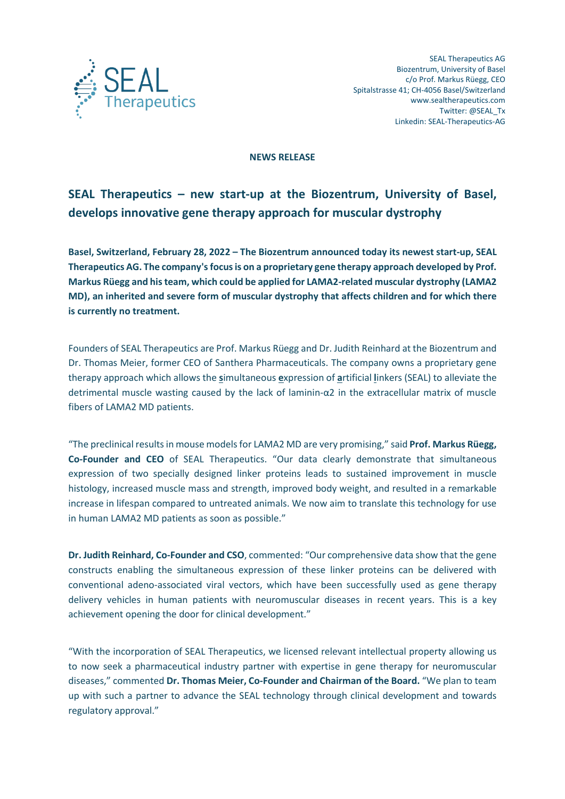

#### **NEWS RELEASE**

# **SEAL Therapeutics – new start-up at the Biozentrum, University of Basel, develops innovative gene therapy approach for muscular dystrophy**

**Basel, Switzerland, February 28, 2022 – The Biozentrum announced today its newest start-up, SEAL**  Therapeutics AG. The company's focus is on a proprietary gene therapy approach developed by Prof. **Markus Rüegg and his team, which could be applied for LAMA2-related muscular dystrophy (LAMA2 MD), an inherited and severe form of muscular dystrophy that affects children and for which there is currently no treatment.** 

Founders of SEAL Therapeutics are Prof. Markus Rüegg and Dr. Judith Reinhard at the Biozentrum and Dr. Thomas Meier, former CEO of Santhera Pharmaceuticals. The company owns a proprietary gene therapy approach which allows the **s**imultaneous **e**xpression of **a**rtificial **l**inkers (SEAL) to alleviate the detrimental muscle wasting caused by the lack of laminin-α2 in the extracellular matrix of muscle fibers of LAMA2 MD patients.

"The preclinical results in mouse modelsfor LAMA2 MD are very promising," said **Prof. Markus Rüegg, Co-Founder and CEO** of SEAL Therapeutics. "Our data clearly demonstrate that simultaneous expression of two specially designed linker proteins leads to sustained improvement in muscle histology, increased muscle mass and strength, improved body weight, and resulted in a remarkable increase in lifespan compared to untreated animals. We now aim to translate this technology for use in human LAMA2 MD patients as soon as possible."

**Dr. Judith Reinhard, Co-Founder and CSO**, commented: "Our comprehensive data show that the gene constructs enabling the simultaneous expression of these linker proteins can be delivered with conventional adeno-associated viral vectors, which have been successfully used as gene therapy delivery vehicles in human patients with neuromuscular diseases in recent years. This is a key achievement opening the door for clinical development."

"With the incorporation of SEAL Therapeutics, we licensed relevant intellectual property allowing us to now seek a pharmaceutical industry partner with expertise in gene therapy for neuromuscular diseases," commented **Dr. Thomas Meier, Co-Founder and Chairman of the Board.** "We plan to team up with such a partner to advance the SEAL technology through clinical development and towards regulatory approval."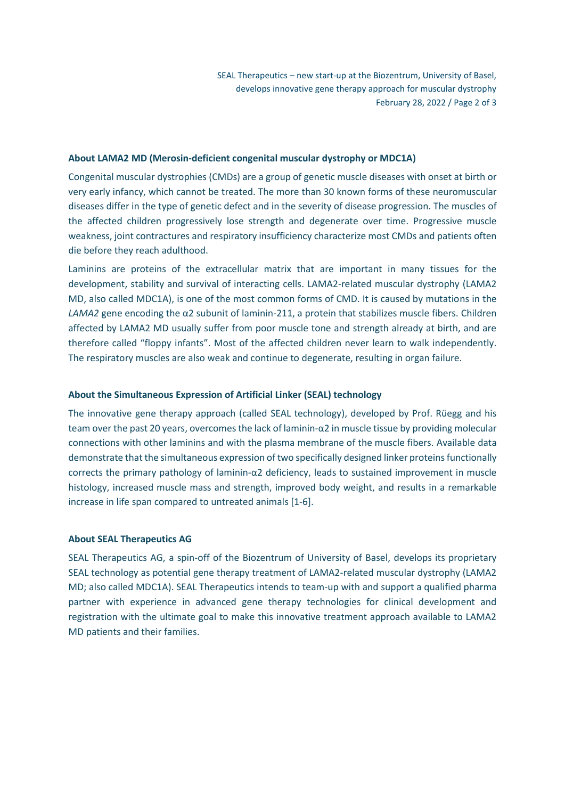SEAL Therapeutics – new start-up at the Biozentrum, University of Basel, develops innovative gene therapy approach for muscular dystrophy February 28, 2022 / Page 2 of 3

## **About LAMA2 MD (Merosin-deficient congenital muscular dystrophy or MDC1A)**

Congenital muscular dystrophies (CMDs) are a group of genetic muscle diseases with onset at birth or very early infancy, which cannot be treated. The more than 30 known forms of these neuromuscular diseases differ in the type of genetic defect and in the severity of disease progression. The muscles of the affected children progressively lose strength and degenerate over time. Progressive muscle weakness, joint contractures and respiratory insufficiency characterize most CMDs and patients often die before they reach adulthood.

Laminins are proteins of the extracellular matrix that are important in many tissues for the development, stability and survival of interacting cells. LAMA2-related muscular dystrophy (LAMA2 MD, also called MDC1A), is one of the most common forms of CMD. It is caused by mutations in the *LAMA2* gene encoding the α2 subunit of laminin-211, a protein that stabilizes muscle fibers. Children affected by LAMA2 MD usually suffer from poor muscle tone and strength already at birth, and are therefore called "floppy infants". Most of the affected children never learn to walk independently. The respiratory muscles are also weak and continue to degenerate, resulting in organ failure.

# **About the Simultaneous Expression of Artificial Linker (SEAL) technology**

The innovative gene therapy approach (called SEAL technology), developed by Prof. Rüegg and his team over the past 20 years, overcomes the lack of laminin-α2 in muscle tissue by providing molecular connections with other laminins and with the plasma membrane of the muscle fibers. Available data demonstrate that the simultaneous expression of two specifically designed linker proteins functionally corrects the primary pathology of laminin-α2 deficiency, leads to sustained improvement in muscle histology, increased muscle mass and strength, improved body weight, and results in a remarkable increase in life span compared to untreated animals [1-6].

# **About SEAL Therapeutics AG**

SEAL Therapeutics AG, a spin-off of the Biozentrum of University of Basel, develops its proprietary SEAL technology as potential gene therapy treatment of LAMA2-related muscular dystrophy (LAMA2 MD; also called MDC1A). SEAL Therapeutics intends to team-up with and support a qualified pharma partner with experience in advanced gene therapy technologies for clinical development and registration with the ultimate goal to make this innovative treatment approach available to LAMA2 MD patients and their families.